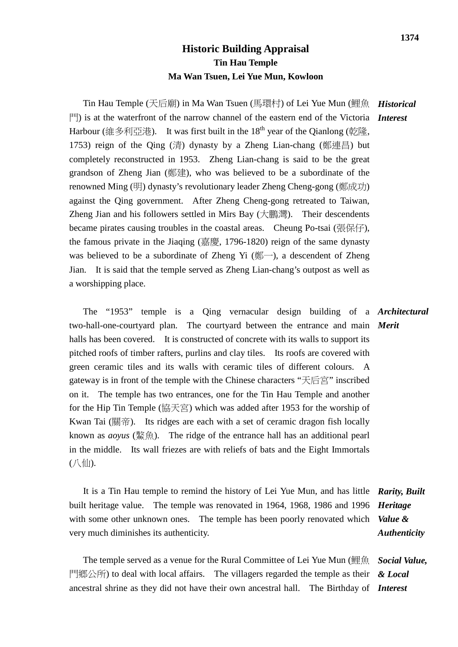## **Historic Building Appraisal Tin Hau Temple Ma Wan Tsuen, Lei Yue Mun, Kowloon**

Tin Hau Temple (天后廟) in Ma Wan Tsuen (馬環村) of Lei Yue Mun (鯉魚 *Historical* 門) is at the waterfront of the narrow channel of the eastern end of the Victoria *Interest* Harbour (維多利亞港). It was first built in the 18<sup>th</sup> year of the Oianlong (乾隆, 1753) reign of the Qing (清) dynasty by a Zheng Lian-chang (鄭連昌) but completely reconstructed in 1953. Zheng Lian-chang is said to be the great grandson of Zheng Jian (鄭建), who was believed to be a subordinate of the renowned Ming (明) dynasty's revolutionary leader Zheng Cheng-gong (鄭成功) against the Qing government. After Zheng Cheng-gong retreated to Taiwan, Zheng Jian and his followers settled in Mirs Bay (大鵬灣). Their descendents became pirates causing troubles in the coastal areas. Cheung Po-tsai (張保仔), the famous private in the Jiaqing (嘉慶, 1796-1820) reign of the same dynasty was believed to be a subordinate of Zheng Yi  $(\frac{20}{3})$ , a descendent of Zheng Jian. It is said that the temple served as Zheng Lian-chang's outpost as well as a worshipping place.

 The "1953" temple is a Qing vernacular design building of a *Architectural* two-hall-one-courtyard plan. The courtyard between the entrance and main *Merit* halls has been covered. It is constructed of concrete with its walls to support its pitched roofs of timber rafters, purlins and clay tiles. Its roofs are covered with green ceramic tiles and its walls with ceramic tiles of different colours. A gateway is in front of the temple with the Chinese characters "天后宮" inscribed on it. The temple has two entrances, one for the Tin Hau Temple and another for the Hip Tin Temple (協天宮) which was added after 1953 for the worship of Kwan Tai (關帝). Its ridges are each with a set of ceramic dragon fish locally known as *aoyus* (鰲魚). The ridge of the entrance hall has an additional pearl in the middle. Its wall friezes are with reliefs of bats and the Eight Immortals  $($   $\mathcal{N}$   $\mathcal{L}$   $\mathcal{L}$   $\mathcal{L}$   $\mathcal{L}$   $\mathcal{L}$   $\mathcal{L}$   $\mathcal{L}$   $\mathcal{L}$   $\mathcal{L}$   $\mathcal{L}$   $\mathcal{L}$   $\mathcal{L}$   $\mathcal{L}$   $\mathcal{L}$   $\mathcal{L}$   $\mathcal{L}$   $\mathcal{L}$   $\mathcal{L}$   $\mathcal{L}$   $\mathcal{L}$   $\mathcal{L}$   $\mathcal{L}$   $\mathcal{L}$ 

 It is a Tin Hau temple to remind the history of Lei Yue Mun, and has little *Rarity, Built*  built heritage value. The temple was renovated in 1964, 1968, 1986 and 1996 with some other unknown ones. The temple has been poorly renovated which very much diminishes its authenticity. *Heritage Value & Authenticity*

 The temple served as a venue for the Rural Committee of Lei Yue Mun (鯉魚 門鄉公所) to deal with local affairs. The villagers regarded the temple as their ancestral shrine as they did not have their own ancestral hall. The Birthday of *Interest Social Value, & Local*